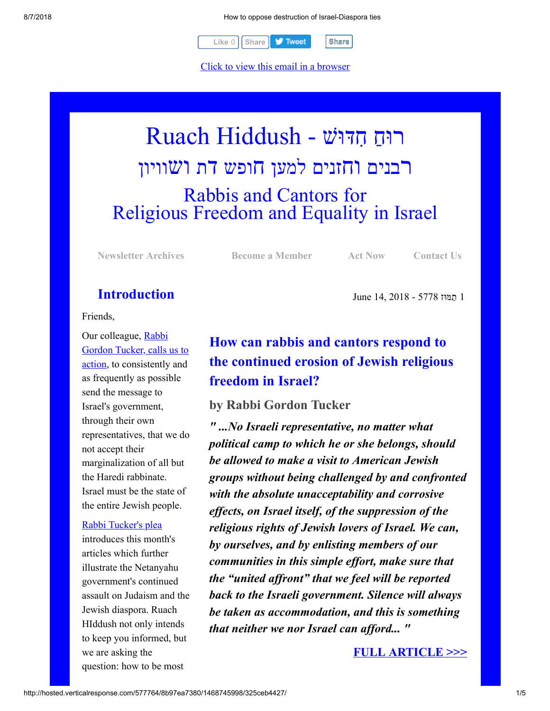8/7/2018 How to oppose destruction of Israel-Diaspora ties



[Click to view this email in a browser](http://hosted.verticalresponse.com/577764/8b97ea7380/TEST/TEST/)

# רוּחַ חִדּוּשׁ - Ruach Hiddush רבנים וחזנים למען חופש דת ושוויון Rabbis and Cantors for Religious Freedom and Equality in Israel

**[Newsletter Archives](http://cts.vresp.com/c/?FreedomofReligionfor/8b97ea7380/325ceb4427/5f3c4750d3) [Become a Member](http://cts.vresp.com/c/?FreedomofReligionfor/8b97ea7380/325ceb4427/4a8039e37c) [Act Now](http://cts.vresp.com/c/?FreedomofReligionfor/8b97ea7380/325ceb4427/8ac97a05d2) [Contact Us](http://cts.vresp.com/c/?FreedomofReligionfor/8b97ea7380/325ceb4427/97705cecab)**

1 ַתמּוּז 5778 - 2018 14, June

### **Introduction**

Friends,

Our colleague, Rabbi [Gordon Tucker, calls us to](http://cts.vresp.com/c/?FreedomofReligionfor/8b97ea7380/325ceb4427/4503c55a48) action, to consistently and as frequently as possible send the message to Israel's government, through their own representatives, that we do not accept their marginalization of all but the Haredi rabbinate. Israel must be the state of the entire Jewish people.

#### [Rabbi Tucker's plea](http://cts.vresp.com/c/?FreedomofReligionfor/8b97ea7380/325ceb4427/b14671dcf1)

introduces this month's articles which further illustrate the Netanyahu government's continued assault on Judaism and the Jewish diaspora. Ruach HIddush not only intends to keep you informed, but we are asking the question: how to be most

## **How can rabbis and cantors respond to the continued erosion of Jewish religious freedom in Israel?**

#### **by Rabbi Gordon Tucker**

*" ...No Israeli representative, no matter what political camp to which he or she belongs, should be allowed to make a visit to American Jewish groups without being challenged by and confronted with the absolute unacceptability and corrosive effects, on Israel itself, of the suppression of the religious rights of Jewish lovers of Israel. We can, by ourselves, and by enlisting members of our communities in this simple effort, make sure that the "united affront" that we feel will be reported back to the Israeli government. Silence will always be taken as accommodation, and this is something that neither we nor Israel can afford... "*

#### **[FULL ARTICLE >>>](http://cts.vresp.com/c/?FreedomofReligionfor/8b97ea7380/325ceb4427/8a6e650767)**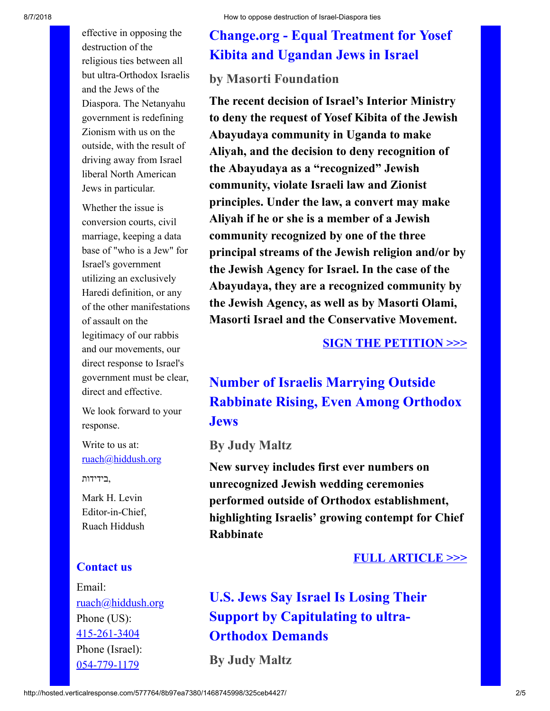effective in opposing the destruction of the religious ties between all but ultra-Orthodox Israelis and the Jews of the Diaspora. The Netanyahu government is redefining Zionism with us on the outside, with the result of driving away from Israel liberal North American Jews in particular.

Whether the issue is conversion courts, civil marriage, keeping a data base of "who is a Jew" for Israel's government utilizing an exclusively Haredi definition, or any of the other manifestations of assault on the legitimacy of our rabbis and our movements, our direct response to Israel's government must be clear, direct and effective.

We look forward to your response.

Write to us at: [ruach@hiddush.org](http://cts.vresp.com/c/?FreedomofReligionfor/8b97ea7380/325ceb4427/54df5ac595)

,בידידות

Mark H. Levin Editor-in-Chief, Ruach Hiddush

#### **Contact us**

Email: [ruach@hiddush.org](http://cts.vresp.com/c/?FreedomofReligionfor/8b97ea7380/325ceb4427/d5a35ff64b) Phone (US): [415-261-3404](http://cts.vresp.com/c/?FreedomofReligionfor/8b97ea7380/325ceb4427/975fdac4da) Phone (Israel): [054-779-1179](http://cts.vresp.com/c/?FreedomofReligionfor/8b97ea7380/325ceb4427/59aaf98121)

## **Change.org - Equal Treatment for Yosef Kibita and Ugandan Jews in Israel**

### **by Masorti Foundation**

**The recent decision of Israel's Interior Ministry to deny the request of Yosef Kibita of the Jewish Abayudaya community in Uganda to make Aliyah, and the decision to deny recognition of the Abayudaya as a "recognized" Jewish community, violate Israeli law and Zionist principles. Under the law, a convert may make Aliyah if he or she is a member of a Jewish community recognized by one of the three principal streams of the Jewish religion and/or by the Jewish Agency for Israel. In the case of the Abayudaya, they are a recognized community by the Jewish Agency, as well as by Masorti Olami, Masorti Israel and the Conservative Movement.**

#### **[SIGN THE PETITION >>>](http://cts.vresp.com/c/?FreedomofReligionfor/8b97ea7380/325ceb4427/70153c4771/signed=true)**

### **Number of Israelis Marrying Outside Rabbinate Rising, Even Among Orthodox Jews**

#### **By Judy Maltz**

**New survey includes first ever numbers on unrecognized Jewish wedding ceremonies performed outside of Orthodox establishment, highlighting Israelis' growing contempt for Chief Rabbinate**

#### **[FULL ARTICLE >>>](http://cts.vresp.com/c/?FreedomofReligionfor/8b97ea7380/325ceb4427/e908d04d11)**

**U.S. Jews Say Israel Is Losing Their Support by Capitulating to ultra-Orthodox Demands**

**By Judy Maltz**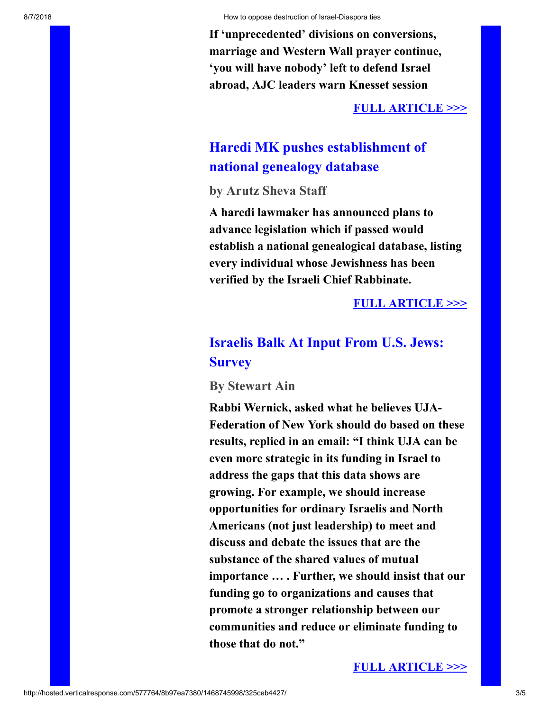**If 'unprecedented' divisions on conversions, marriage and Western Wall prayer continue, 'you will have nobody' left to defend Israel abroad, AJC leaders warn Knesset session**

#### **[FULL ARTICLE >>>](http://cts.vresp.com/c/?FreedomofReligionfor/8b97ea7380/325ceb4427/6b868f1bfd)**

### **Haredi MK pushes establishment of national genealogy database**

**by Arutz Sheva Staff**

**A haredi lawmaker has announced plans to advance legislation which if passed would establish a national genealogical database, listing every individual whose Jewishness has been verified by the Israeli Chief Rabbinate.**

#### **[FULL ARTICLE >>>](http://cts.vresp.com/c/?FreedomofReligionfor/8b97ea7380/325ceb4427/6444692219)**

### **Israelis Balk At Input From U.S. Jews: Survey**

**By Stewart Ain**

**Rabbi Wernick, asked what he believes UJA-Federation of New York should do based on these results, replied in an email: "I think UJA can be even more strategic in its funding in Israel to address the gaps that this data shows are growing. For example, we should increase opportunities for ordinary Israelis and North Americans (not just leadership) to meet and discuss and debate the issues that are the substance of the shared values of mutual importance … . Further, we should insist that our funding go to organizations and causes that promote a stronger relationship between our communities and reduce or eliminate funding to those that do not."**

#### **[FULL ARTICLE >>>](http://cts.vresp.com/c/?FreedomofReligionfor/8b97ea7380/325ceb4427/a4a0834966)**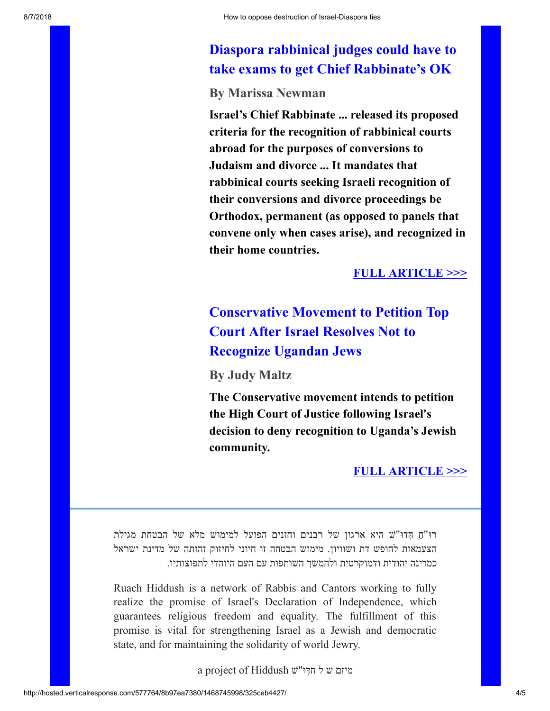### **Diaspora rabbinical judges could have to take exams to get Chief Rabbinate's OK**

**By Marissa Newman**

**Israel's Chief Rabbinate ... released its proposed criteria for the recognition of rabbinical courts abroad for the purposes of conversions to Judaism and divorce ... It mandates that rabbinical courts seeking Israeli recognition of their conversions and divorce proceedings be Orthodox, permanent (as opposed to panels that convene only when cases arise), and recognized in their home countries.**

#### **[FULL ARTICLE >>>](http://cts.vresp.com/c/?FreedomofReligionfor/8b97ea7380/325ceb4427/70b2198a26)**

### **Conservative Movement to Petition Top Court After Israel Resolves Not to Recognize Ugandan Jews**

**By Judy Maltz**

**The Conservative movement intends to petition the High Court of Justice following Israel's decision to deny recognition to Uganda's Jewish community.**

**[FULL ARTICLE >>>](http://cts.vresp.com/c/?FreedomofReligionfor/8b97ea7380/325ceb4427/e77b9ab913)**

ַ רוּ"ח ִ ּ חדוּ"שׁ היא ארגון של רבנים וחזנים הפועל למימוש מלא של הבטחת מגילת הצעמאות לחופש דת ושוויון. מימוש הבטחה זו חיוני לחיזוק זהותה של מדינת ישראל כמדינה יהודית ודמוקרטית ולהמשך השותפות עם העם היוהדי לתפוצותיו.

Ruach Hiddush is a network of Rabbis and Cantors working to fully realize the promise of Israel's Declaration of Independence, which guarantees religious freedom and equality. The fulfillment of this promise is vital for strengthening Israel as a Jewish and democratic state, and for maintaining the solidarity of world Jewry.

ִ מיזם ש ל חדּוּ"שׁ Hiddush of project a